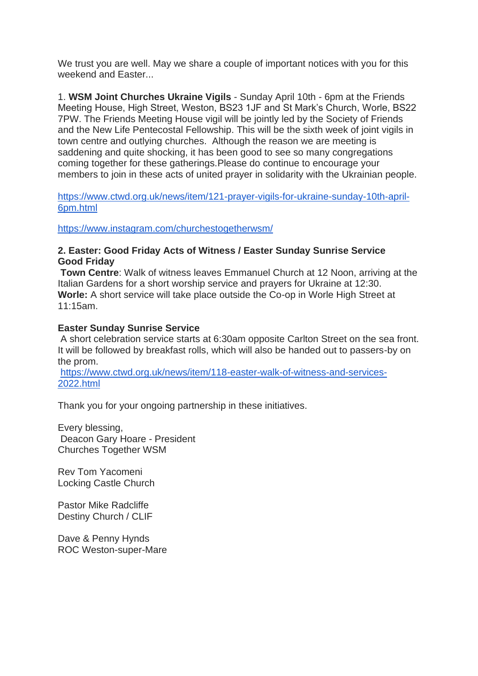We trust you are well. May we share a couple of important notices with you for this weekend and Easter...

1. **WSM Joint Churches Ukraine Vigils** - Sunday April 10th - 6pm at the Friends Meeting House, High Street, Weston, BS23 1JF and St Mark's Church, Worle, BS22 7PW. The Friends Meeting House vigil will be jointly led by the Society of Friends and the New Life Pentecostal Fellowship. This will be the sixth week of joint vigils in town centre and outlying churches. Although the reason we are meeting is saddening and quite shocking, it has been good to see so many congregations coming together for these gatherings.Please do continue to encourage your members to join in these acts of united prayer in solidarity with the Ukrainian people.

[https://www.ctwd.org.uk/news/item/121-prayer-vigils-for-ukraine-sunday-10th-april-](https://www.ctwd.org.uk/news/item/121-prayer-vigils-for-ukraine-sunday-10th-april-6pm.html)[6pm.html](https://www.ctwd.org.uk/news/item/121-prayer-vigils-for-ukraine-sunday-10th-april-6pm.html)

<https://www.instagram.com/churchestogetherwsm/>

## **2. Easter: Good Friday Acts of Witness / Easter Sunday Sunrise Service Good Friday**

**Town Centre**: Walk of witness leaves Emmanuel Church at 12 Noon, arriving at the Italian Gardens for a short worship service and prayers for Ukraine at 12:30. **Worle:** A short service will take place outside the Co-op in Worle High Street at 11:15am.

## **Easter Sunday Sunrise Service**

A short celebration service starts at 6:30am opposite Carlton Street on the sea front. It will be followed by breakfast rolls, which will also be handed out to passers-by on the prom.

[https://www.ctwd.org.uk/news/item/118-easter-walk-of-witness-and-services-](https://www.ctwd.org.uk/news/item/118-easter-walk-of-witness-and-services-2022.html)[2022.html](https://www.ctwd.org.uk/news/item/118-easter-walk-of-witness-and-services-2022.html)

Thank you for your ongoing partnership in these initiatives.

Every blessing, Deacon Gary Hoare - President Churches Together WSM

Rev Tom Yacomeni Locking Castle Church

Pastor Mike Radcliffe Destiny Church / CLIF

Dave & Penny Hynds ROC Weston-super-Mare